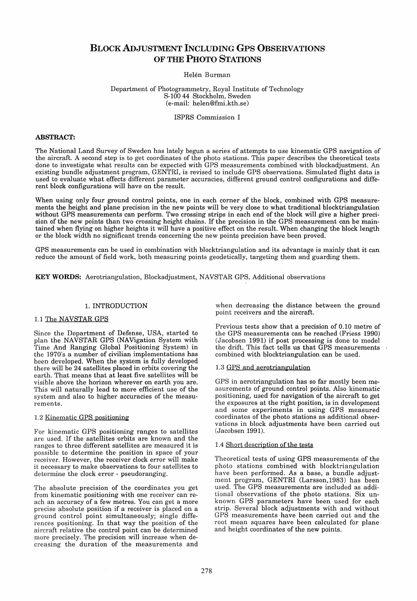# BLOCKADJUSTMENT INCLUDING Gps OBSERVATIONS OF THE PHOTO STATIONS

## Helén Burman

## Department of Photogrammetry, Royal Institute of Technology S-100 44 Stockholm, Sweden (e-mail: helen@fmi.kth.se)

## ISPRS Commission I

## ABSTRACT:

The National Land Survey of Sweden has lately begun a series of attempts to use kinematic GPS navigation of the aircraft. A second step is to get coordinates of the photo stations. This paper describes the theoretical tests done to investigate what results can be expected with GPS measurements combined with blockadjustment. An existing bundle adjustment program, GENTRI, is revised to inelude GPS observations. Simulated flight data is used to evaluate what effects different parameter accuracies, different ground control configurations and different block configurations will have on the result.

When using only four ground control points, one in each corner of the block, combined with GPS measurements the height and plane precision in the new points will be very elose to what traditional blocktriangulation without GPS measurements can perform. Two crossing strips in each end of the block will give a higher precision of the new points than two crossing height chains. If the precision in the GPS measurement can be maintained when flying on higher heights it will have a positive effect on the result. When changing the block length or the block width no significant trends concerning the new points precision have been proved.

GPS measurements can be used in combination with blocktriangulation and its advantage is mainly that it can reduce the amount of field work, both measuring points geodetically, targeting them and guarding them.

KEY WORDS: Aerotriangulation, Blockadjustment, NAVSTAR GPS, Additional observations

## 1. INTRODUCTION

## 1.1 The NAVSTAR GPS

Since the Department of Defense, USA, started to plan the NAVSTAR GPS (NAVigation System with Time And Ranging Global Positioning System) in the 1970's a number of civilian implementations has been developed. When the system is fully developed there will be 24 satellites placed in orbits covering the earth. That means that at least five satellites will be visible above the horizon wherever on earth you are. This will naturally lead to more efficient use of the system and also to higher accuracies of the measurements.

## 1.2 Kinematic GPS positioning

For kinematic GPS positioning ranges to satellites are used. If the satellites orbits are known and the ranges to three different satellites are measured it is possible to determine the position in space of your receiver. However, the receiver clock error will make it necessary to make observations to four satellites to determine the elock error - pseudoranging.

The absolute precision of the coordinates you get from kinematic positioning with one receiver can reach an accuracy of a few metres. You can get a more precise absolute position if a receiver is placed on a ground control point simultaneously; single differences positioning. In that way the position of the aircraft relative the control point can be determined more precisely. The precision will increase when decreasing the duration of the measurements and when decreasing the distance between the ground point receivers and the aircraft.

Previous tests show that aprecision of 0.10 metre of the GPS measurements can be reached (Friess 1990) (Jacobsen 1991) if post processing is done to model the drift. This fact teIls us that GPS measurements combined with blocktriangulation can be used.

## 1.3 GPS and aerotriangulation

GPS in aerotriangulation has so far mostly been measurements of ground control points. Also kinematic positioning, used for navigation of the aircraft to get the exposures at the right position, is in development and some experiments in using GPS measured coordinates of the photo stations as additional observations in block adjustments have been carried out (Jacobsen 1991).

#### 1.4 Short description of the tests

Theoretical tests of using GPS measurements of the photo stations combined with blocktriangulation have been performed. As a base, a bundle adjustment program, GENTRI (Larsson,1983) has been used. The GPS measurements are included as additional observations of the photo stations. Six unknown GPS parameters have been used for each strip. Several block adjustments with and without GPS measurements have been carried out and the root mean squares have been calculated for plane and height coordinates of the new points.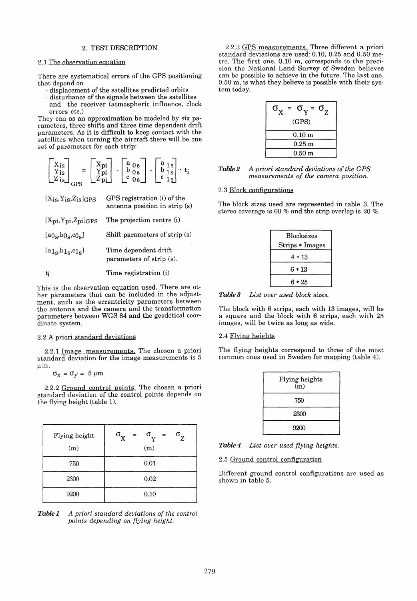## 2. TEST DESCRIPTION

## 2.1 The observation eguation

There are systematical errors of the GPS positioning that depend on

- displacement of the satellites predicted orbits
- disturbance of the signals between the satellites and the receiver (atmospheric influence, clock errors etc.)

They can as an approximation be modeled by six parameters, three shifts and three time dependent drift parameters. As it is difficult to keep contact with the satellites when turning the aircraft there will be one set of parameters for each strip:

| $\frac{Y_{\text{is}}}{Z_{\text{is}}}$<br>m | $\frac{\rm Xpi}{\rm Ypi}$<br>$Z_{\rm ni}$ | $\blacksquare$ | $\left[\begin{smallmatrix} a & 0 & s \ b & 0 & s \ c & 0 & s \end{smallmatrix}\right]$ | $\blacksquare$ | a<br>$\begin{bmatrix} a & 1 & s \\ b & 1 & s \end{bmatrix}$<br>c<br>$\sim$ | ti |
|--------------------------------------------|-------------------------------------------|----------------|----------------------------------------------------------------------------------------|----------------|----------------------------------------------------------------------------|----|
|--------------------------------------------|-------------------------------------------|----------------|----------------------------------------------------------------------------------------|----------------|----------------------------------------------------------------------------|----|

| $[X_{18}, Y_{18}, Z_{18}]$ GPS | GPS registration (i) of the<br>antenna position in strip (s) |
|--------------------------------|--------------------------------------------------------------|
| $[Xpi, Ypi, Zpi]$ GPS          | The projection centre (i)                                    |
| $[a0s, b0s, c0s]$              | Shift parameters of strip $(s)$                              |
| $[a_{1s},b_{1s},c_{1s}]$       | Time dependent drift<br>parameters of strip (s).             |
| ti                             | Time registration (i)                                        |

This is the observation equation used. There are other parameters that can be included in the adjustment, such as the eccentricity parameters between the antenna and the camera and the transformation parameters between WGS 84 and the geodetical coordinate system.

## 2.2 A priori standard deviations

2.2.1 Image measurements. The chosen a priori standard deviation for the image measurements is 5  $~\mu m$ .

```
\sigma_{x'} = \sigma_{y'} = 5 \text{ }\mu\text{m}
```
2.2.2 Ground control points. The chosen a priori standard deviation of the control points depends on the flying height (table 1).

| Flying height<br>(m) | $\sigma_{\mathbf{x}}$<br>$\sigma_{Z}$<br>$\sigma_{V}$ =<br>$=$ $-$<br>(m) |
|----------------------|---------------------------------------------------------------------------|
| 750                  | 0.01                                                                      |
| 2300                 | 0.02                                                                      |
| 9200                 | 0.10                                                                      |

**Table 1** A priori standard deviations of the control *points depending on flying height.* 

2.2.3 GPS measurements. Three different a priori standard deviations are used: 0.10, 0.25 and 0.50 metre. The first one, 0.10 m, corresponds to the precision the National Land Survey of Sweden believes can be possible to achieve in the future. The last one, 0.50 m, is what they believe is possible with their system today.

| $\sigma_{\rm v}$ = $\sigma_{\rm z}$<br>$\equiv$<br>(GPS) |
|----------------------------------------------------------|
| $0.10~\mathrm{m}$                                        |
| $0.25 \text{ m}$                                         |
| 0.50 <sub>m</sub>                                        |

| Table 2 | A priori standard deviations of the GPS |
|---------|-----------------------------------------|
|         | measurements of the camera position.    |

## 2.3 Block configurations

The block sizes used are represented in table 3. The stereo coverage is 60 % and the strip overlap is 20 %.

| <b>Blocksizes</b> |  |
|-------------------|--|
| Strips * Images   |  |
| 4 * 13            |  |
| 6 * 13            |  |
| 6 * 25            |  |
|                   |  |

*Tahle* 3 *List ouer used block sizes.* 

The block with 6 strips, each with 13 images, will be a square and the block with 6 strips, each with 25 images, will be twice as long as wide.

#### 2.4 Flying heights

The flying heights correspond to three of the most common ones used in Sweden for mapping (table 4).

| Flying heights<br>(m) |  |
|-----------------------|--|
| 750                   |  |
| 2300                  |  |
| 9200                  |  |

*Tahle4 List ouer used flying heights.* 

2.5 Ground control configuration

Different ground control configurations are used as shown in table 5.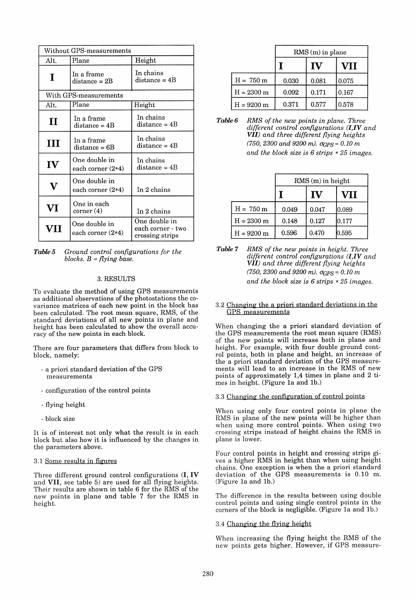| Without GPS-measurements |                                      |                                                       |  |  |
|--------------------------|--------------------------------------|-------------------------------------------------------|--|--|
| Alt.                     | Plane                                | Height                                                |  |  |
| I                        | In a frame<br>$distance = 2B$        | In chains<br>$distance = 4B$                          |  |  |
|                          | With GPS-measurements                |                                                       |  |  |
| Alt.                     | Plane                                | Height                                                |  |  |
| П                        | In a frame<br>$distance = 4B$        | In chains<br>$distance = 4B$                          |  |  |
| Ш                        | In a frame<br>$distance = 6B$        | In chains<br>$distance = 4B$                          |  |  |
| $\mathbf{IV}$            | One double in<br>each corner $(2*4)$ | In chains<br>$distance = 4B$                          |  |  |
| $\mathbf V$              | One double in<br>each corner $(2*4)$ | In 2 chains                                           |  |  |
| $\bf{V}\bf{I}$           | One in each<br>$\rm corner(4)$       | In 2 chains                                           |  |  |
| VII                      | One double in<br>each corner $(2*4)$ | One double in<br>each corner - two<br>crossing strips |  |  |

*Tahle* 5 *Graund control configurations for the blocks. B* = *flying base.* 

## 3.RESULTS

To evaluate the method of using GPS measurements as additional observations of the photostations the covariance matrices of each new point in the block has been calculated. The root mean square, RMS, of the standard deviations of all new points in plane and height has been calculated to show the overall accuracy of the new points in each block.

There are four parameters that differs from block to block, namely:

- apriori standard deviation of the GPS measurements
- configuration of the control points
- flying height
- block size

It is of interest not only what the result is in each block but also how it is influenced by the changes in the parameters above.

#### 3.1 Some results in figures

Three different ground control configurations (I, **IV**  and VII, see table 5) are used for all flying heights. Their results are shown in table 6 for the RMS of the new points in plane and table 7 for the RMS in height.

|                      | $RMS(m)$ in plane |       |       |
|----------------------|-------------------|-------|-------|
|                      |                   |       | VII   |
| $H = 750 m$          | 0.030             | 0.081 | 0.075 |
| $H = 2300$ m         | 0.092             | 0.171 | 0.167 |
| $H = 9200 \text{ m}$ | 0.371             | 0.577 | 0.578 |

*Tahle* 6 *RMS of the new points in plane. Three different contral configurations (I,IVand VII) and three different flying heights*   $(750, 2300 \text{ and } 9200 \text{ m})$ .  $\sigma$ <sub>GPS</sub> = 0.10 m *and the block size is* 6 *strips* \* 25 *images.* 

|                      | $RMS(m)$ in height |       |       |
|----------------------|--------------------|-------|-------|
|                      |                    | IV    | VII   |
| $H = 750 m$          | 0.049              | 0.047 | 0.089 |
| $H = 2300 \text{ m}$ | 0.148              | 0.127 | 0.177 |
| $H = 9200 \text{ m}$ | 0.596              | 0.470 | 0.595 |

*Tahle* 7 *RMS of the new points in height. Three different control configurations (l,IVand VII) and three different flying heights (750, 2300 and 9200 m).*  $\sigma$ <sub>GPS</sub> = *0.10 m and the block size is* 6 *strips* \* 25 *images.* 

## 3.2 Changing the a priori standard deviations in the GPS measurements

When changing the a priori standard deviation of the GPS measurements the root mean square (RMS) of the new points will increase both in plane and height. For example, with four double ground control points, both in plane and height, an increase of the a priori standard deviation of the GPS measurements will lead to an increase in the RMS of new points of approximately 1,4 times in plane and 2 times in height. (Figure la and Ib.)

#### 3.3 Changing the configuration of control points

When using only four control points in plane the RMS in plane of the new points will be higher than when using more control points. When using two crossing strips instead of height chains the RMS in plane is lower.

Four control points in height and crossing strips gives a higher RMS in height than when using height chains. One exception is when the a priori standard deviation of the GPS measurements is 0.10 m. (Figure la and Ib.)

The difference in the results between using double control points and using single control points in the corners of the block is negligible. (Figure la and Ib.)

#### 3.4 Changing the flying height

When increasing the flying height the RMS of the new points gets higher. However, if GPS measure-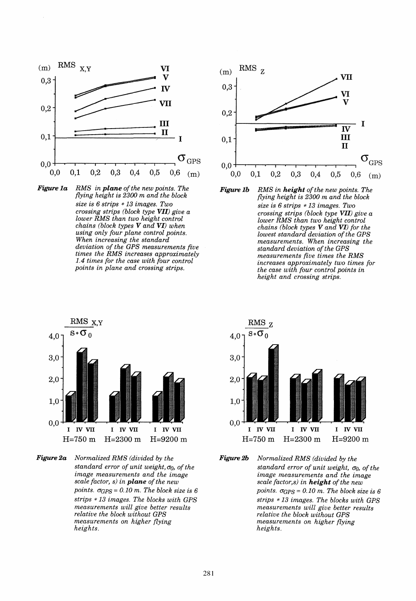





*Figure 1b RMS in height of the new points. The flying height is 2300 m and the block size is* 6 *strips* \* 13 *images. Two crossing strips (block type VII) give a lower RMS than two height contral chains (block types V and VI) for the lowest standard deviation ofthe GPS measurements. When increasing the standard deviation of the GPS measurements five times the RMS increases appraximately two times for the case with four control points in height and crossing strips.* 



*Figure2a Normalized RMS (divided by the standard error of unit weight,*  $\sigma_0$ *, of the image measurements and the image scale factor,* s) *in plane of the new points.*  $\sigma$ <sub>GPS</sub> = 0.10 *m. The block size is 6 strips* \* 13 *images. The blocks with GPS measurements will give better results relative the block without GPS measurements on higher flying heights.* 



*Figure2b Normalized RMS (divided by the standard error of unit weight, σ*<sub>0</sub>, *of the image measurements and the image* scale factor,s) in **height** of the new *points.*  $\sigma_{GPS} = 0.10$  *m. The block size is 6 strips* \* 13 *images. The blocks with GPS measurements will give better results relative the block without GPS measurements on higher flying heights.*